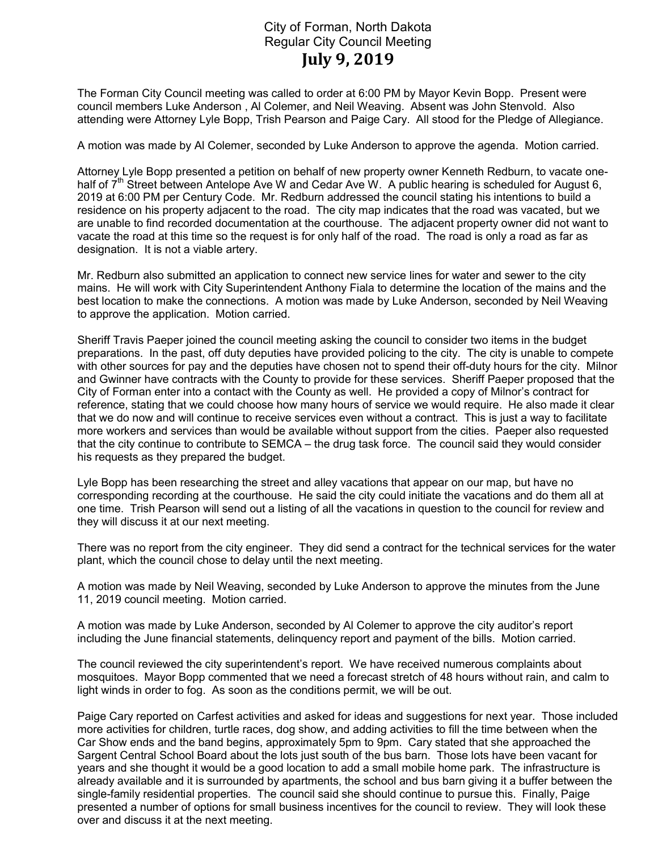## City of Forman, North Dakota Regular City Council Meeting July 9, 2019

The Forman City Council meeting was called to order at 6:00 PM by Mayor Kevin Bopp. Present were council members Luke Anderson , Al Colemer, and Neil Weaving. Absent was John Stenvold. Also attending were Attorney Lyle Bopp, Trish Pearson and Paige Cary. All stood for the Pledge of Allegiance.

A motion was made by Al Colemer, seconded by Luke Anderson to approve the agenda. Motion carried.

Attorney Lyle Bopp presented a petition on behalf of new property owner Kenneth Redburn, to vacate onehalf of  $7<sup>th</sup>$  Street between Antelope Ave W and Cedar Ave W. A public hearing is scheduled for August 6, 2019 at 6:00 PM per Century Code. Mr. Redburn addressed the council stating his intentions to build a residence on his property adjacent to the road. The city map indicates that the road was vacated, but we are unable to find recorded documentation at the courthouse. The adjacent property owner did not want to vacate the road at this time so the request is for only half of the road. The road is only a road as far as designation. It is not a viable artery.

Mr. Redburn also submitted an application to connect new service lines for water and sewer to the city mains. He will work with City Superintendent Anthony Fiala to determine the location of the mains and the best location to make the connections. A motion was made by Luke Anderson, seconded by Neil Weaving to approve the application. Motion carried.

Sheriff Travis Paeper joined the council meeting asking the council to consider two items in the budget preparations. In the past, off duty deputies have provided policing to the city. The city is unable to compete with other sources for pay and the deputies have chosen not to spend their off-duty hours for the city. Milnor and Gwinner have contracts with the County to provide for these services. Sheriff Paeper proposed that the City of Forman enter into a contact with the County as well. He provided a copy of Milnor's contract for reference, stating that we could choose how many hours of service we would require. He also made it clear that we do now and will continue to receive services even without a contract. This is just a way to facilitate more workers and services than would be available without support from the cities. Paeper also requested that the city continue to contribute to SEMCA – the drug task force. The council said they would consider his requests as they prepared the budget.

Lyle Bopp has been researching the street and alley vacations that appear on our map, but have no corresponding recording at the courthouse. He said the city could initiate the vacations and do them all at one time. Trish Pearson will send out a listing of all the vacations in question to the council for review and they will discuss it at our next meeting.

There was no report from the city engineer. They did send a contract for the technical services for the water plant, which the council chose to delay until the next meeting.

A motion was made by Neil Weaving, seconded by Luke Anderson to approve the minutes from the June 11, 2019 council meeting. Motion carried.

A motion was made by Luke Anderson, seconded by Al Colemer to approve the city auditor's report including the June financial statements, delinquency report and payment of the bills. Motion carried.

The council reviewed the city superintendent's report. We have received numerous complaints about mosquitoes. Mayor Bopp commented that we need a forecast stretch of 48 hours without rain, and calm to light winds in order to fog. As soon as the conditions permit, we will be out.

Paige Cary reported on Carfest activities and asked for ideas and suggestions for next year. Those included more activities for children, turtle races, dog show, and adding activities to fill the time between when the Car Show ends and the band begins, approximately 5pm to 9pm. Cary stated that she approached the Sargent Central School Board about the lots just south of the bus barn. Those lots have been vacant for years and she thought it would be a good location to add a small mobile home park. The infrastructure is already available and it is surrounded by apartments, the school and bus barn giving it a buffer between the single-family residential properties. The council said she should continue to pursue this. Finally, Paige presented a number of options for small business incentives for the council to review. They will look these over and discuss it at the next meeting.